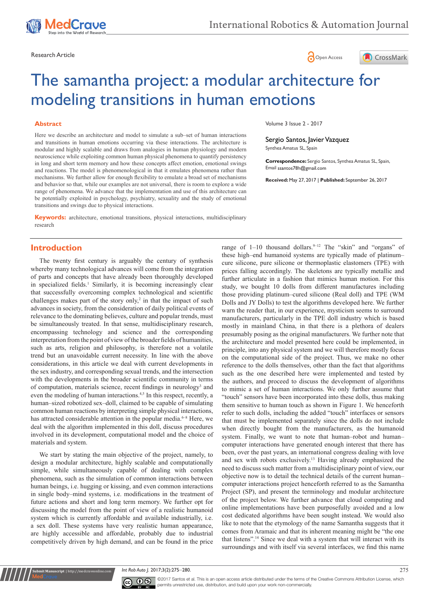





# The samantha project: a modular architecture for modeling transitions in human emotions

#### **Abstract**

Here we describe an architecture and model to simulate a sub–set of human interactions and transitions in human emotions occurring via these interactions. The architecture is modular and highly scalable and draws from analogies in human physiology and modern neuroscience while exploiting common human physical phenomena to quantify persistency in long and short term memory and how these concepts affect emotion, emotional swings and reactions. The model is phenomenological in that it emulates phenomena rather than mechanisms. We further allow for enough flexibility to emulate a broad set of mechanisms and behavior so that, while our examples are not universal, there is room to explore a wide range of phenomena. We advance that the implementation and use of this architecture can be potentially exploited in psychology, psychiatry, sexuality and the study of emotional transitions and swings due to physical interactions.

**Keywords:** architecture, emotional transitions, physical interactions, multidisciplinary research

## **Introduction**

The twenty first century is arguably the century of synthesis whereby many technological advances will come from the integration of parts and concepts that have already been thoroughly developed in specialized fields.<sup>1</sup> Similarly, it is becoming increasingly clear that successfully overcoming complex technological and scientific challenges makes part of the story only, $2$  in that the impact of such advances in society, from the consideration of daily political events of relevance to the dominating believes, culture and popular trends, must be simultaneously treated. In that sense, multidisciplinary research, encompassing technology and science and the corresponding interpretation from the point of view of the broader fields of humanities, such as arts, religion and philosophy, is therefore not a volatile trend but an unavoidable current necessity. In line with the above considerations, in this article we deal with current developments in the sex industry, and corresponding sexual trends, and the intersection with the developments in the broader scientific community in terms of computation, materials science, recent findings in neurology<sup>3</sup> and even the modeling of human interactions.<sup>4,5</sup> In this respect, recently, a human–sized robotized sex–doll, claimed to be capable of simulating common human reactions by interpreting simple physical interactions, has attracted considerable attention in the popular media.<sup>6-8</sup> Here, we deal with the algorithm implemented in this doll, discuss procedures involved in its development, computational model and the choice of materials and system.

We start by stating the main objective of the project, namely, to design a modular architecture, highly scalable and computationally simple, while simultaneously capable of dealing with complex phenomena, such as the simulation of common interactions between human beings, i.e. hugging or kissing, and even common interactions in single body–mind systems, i.e. modifications in the treatment of future actions and short and long term memory. We further opt for discussing the model from the point of view of a realistic humanoid system which is currently affordable and available industrially, i.e. a sex doll. These systems have very realistic human appearance, are highly accessible and affordable, probably due to industrial competitively driven by high demand, and can be found in the price

Volume 3 Issue 2 - 2017

Sergio Santos, Javier Vazquez Synthea Amatus SL, Spain

**Correspondence:** Sergio Santos, Synthea Amatus SL, Spain, Email ssantos78h@gmail.com

**Received:** May 27, 2017 | **Published:** September 26, 2017

range of  $1-10$  thousand dollars. <sup>9-12</sup> The "skin" and "organs" of these high–end humanoid systems are typically made of platinum– cure silicone, pure silicone or thermoplastic elastomers (TPE) with prices falling accordingly. The skeletons are typically metallic and further articulate in a fashion that mimics human motion. For this study, we bought 10 dolls from different manufactures including those providing platinum–cured silicone (Real doll) and TPE (WM Dolls and JY Dolls) to test the algorithms developed here. We further warn the reader that, in our experience, mysticism seems to surround manufacturers, particularly in the TPE doll industry which is based mostly in mainland China, in that there is a plethora of dealers presumably posing as the original manufacturers. We further note that the architecture and model presented here could be implemented, in principle, into any physical system and we will therefore mostly focus on the computational side of the project. Thus, we make no other reference to the dolls themselves, other than the fact that algorithms such as the one described here were implemented and tested by the authors, and proceed to discuss the development of algorithms to mimic a set of human interactions. We only further assume that "touch" sensors have been incorporated into these dolls, thus making them sensitive to human touch as shown in Figure 1. We henceforth refer to such dolls, including the added "touch" interfaces or sensors that must be implemented separately since the dolls do not include when directly bought from the manufacturers, as the humanoid system. Finally, we want to note that human–robot and human– computer interactions have generated enough interest that there has been, over the past years, an international congress dealing with love and sex with robots exclusively.<sup>13</sup> Having already emphasized the need to discuss such matter from a multidisciplinary point of view, our objective now is to detail the technical details of the current human– computer interactions project henceforth referred to as the Samantha Project (SP), and present the terminology and modular architecture of the project below. We further advance that cloud computing and online implementations have been purposefully avoided and a low cost dedicated algorithms have been sought instead. We would also like to note that the etymology of the name Samantha suggests that it comes from Aramaic and that its inherent meaning might be "the one that listens".<sup>14</sup> Since we deal with a system that will interact with its surroundings and with itself via several interfaces, we find this name

*Int Rob Auto J.* 2017;3(2):275‒280. 275



**Subset Interpriet in the Interpret Manuscript** | http://medcraveonline.c

©2017 Santos et al. This is an open access article distributed under the terms of the [Creative Commons Attribution License,](https://creativecommons.org/licenses/by-nc/4.0/) which permits unrestricted use, distribution, and build upon your work non-commercially.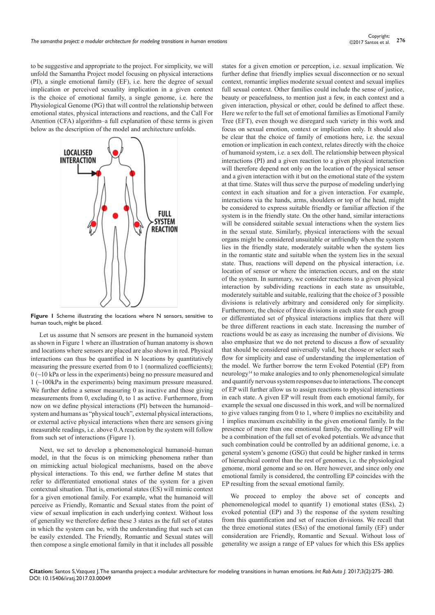to be suggestive and appropriate to the project. For simplicity, we will unfold the Samantha Project model focusing on physical interactions (PI), a single emotional family (EF), i.e. here the degree of sexual implication or perceived sexuality implication in a given context is the choice of emotional family, a single genome, i.e. here the Physiological Genome (PG) that will control the relationship between emotional states, physical interactions and reactions, and the Call For Attention (CFA) algorithm–a full explanation of these terms is given below as the description of the model and architecture unfolds.



Figure 1 Scheme illustrating the locations where N sensors, sensitive to human touch, might be placed.

Let us assume that N sensors are present in the humanoid system as shown in Figure 1 where an illustration of human anatomy is shown and locations where sensors are placed are also shown in red. Physical interactions can thus be quantified in N locations by quantitatively measuring the pressure exerted from 0 to 1 (normalized coefficients);  $0$  ( $\sim$ 10 kPa or less in the experiments) being no pressure measured and 1 (~100kPa in the experiments) being maximum pressure measured. We further define a sensor measuring 0 as inactive and those giving measurements from 0, excluding 0, to 1 as active. Furthermore, from now on we define physical interactions (PI) between the humanoid– system and humans as "physical touch", external physical interactions, or external active physical interactions when there are sensors giving measurable readings, i.e. above 0.A reaction by the system will follow from such set of interactions (Figure 1).

Next, we set to develop a phenomenological humanoid–human model, in that the focus is on mimicking phenomena rather than on mimicking actual biological mechanisms, based on the above physical interactions. To this end, we further define M states that refer to differentiated emotional states of the system for a given contextual situation. That is, emotional states (ES) will mimic context for a given emotional family. For example, what the humanoid will perceive as Friendly, Romantic and Sexual states from the point of view of sexual implication in each underlying context. Without loss of generality we therefore define these 3 states as the full set of states in which the system can be, with the understanding that such set can be easily extended. The Friendly, Romantic and Sexual states will then compose a single emotional family in that it includes all possible

states for a given emotion or perception, i.e. sexual implication. We further define that friendly implies sexual disconnection or no sexual context, romantic implies moderate sexual context and sexual implies full sexual context. Other families could include the sense of justice, beauty or peacefulness, to mention just a few, in each context and a given interaction, physical or other, could be defined to affect these. Here we refer to the full set of emotional families as Emotional Family Tree (EFT), even though we disregard such variety in this work and focus on sexual emotion, context or implication only. It should also be clear that the choice of family of emotions here, i.e. the sexual emotion or implication in each context, relates directly with the choice of humanoid system, i.e. a sex doll. The relationship between physical interactions (PI) and a given reaction to a given physical interaction will therefore depend not only on the location of the physical sensor and a given interaction with it but on the emotional state of the system at that time. States will thus serve the purpose of modeling underlying context in each situation and for a given interaction. For example, interactions via the hands, arms, shoulders or top of the head, might be considered to express suitable friendly or familiar affection if the system is in the friendly state. On the other hand, similar interactions will be considered suitable sexual interactions when the system lies in the sexual state. Similarly, physical interactions with the sexual organs might be considered unsuitable or unfriendly when the system lies in the friendly state, moderately suitable when the system lies in the romantic state and suitable when the system lies in the sexual state. Thus, reactions will depend on the physical interaction, i.e. location of sensor or where the interaction occurs, and on the state of the system. In summary, we consider reactions to a given physical interaction by subdividing reactions in each state as unsuitable, moderately suitable and suitable, realizing that the choice of 3 possible divisions is relatively arbitrary and considered only for simplicity. Furthermore, the choice of three divisions in each state for each group or differentiated set of physical interactions implies that there will be three different reactions in each state. Increasing the number of reactions would be as easy as increasing the number of divisions. We also emphasize that we do not pretend to discuss a flow of sexuality that should be considered universally valid, but choose or select such flow for simplicity and ease of understanding the implementation of the model. We further borrow the term Evoked Potential (EP) from neurology<sup>14</sup> to make analogies and to only phenomenological simulate and quantify nervous system responses due to interactions. The concept of EP will further allow us to assign reactions to physical interactions in each state. A given EP will result from each emotional family, for example the sexual one discussed in this work, and will be normalized to give values ranging from 0 to 1, where 0 implies no excitability and 1 implies maximum excitability in the given emotional family. In the presence of more than one emotional family, the controlling EP will be a combination of the full set of evoked potentials. We advance that such combination could be controlled by an additional genome, i.e. a general system's genome (GSG) that could be higher ranked in terms of hierarchical control than the rest of genomes, i.e. the physiological genome, moral genome and so on. Here however, and since only one emotional family is considered, the controlling EP coincides with the EP resulting from the sexual emotional family.

We proceed to employ the above set of concepts and phenomenological model to quantify 1) emotional states (ESs), 2) evoked potential (EP) and 3) the response of the system resulting from this quantification and set of reaction divisions. We recall that the three emotional states (ESs) of the emotional family (EF) under consideration are Friendly, Romantic and Sexual. Without loss of generality we assign a range of EP values for which this ESs applies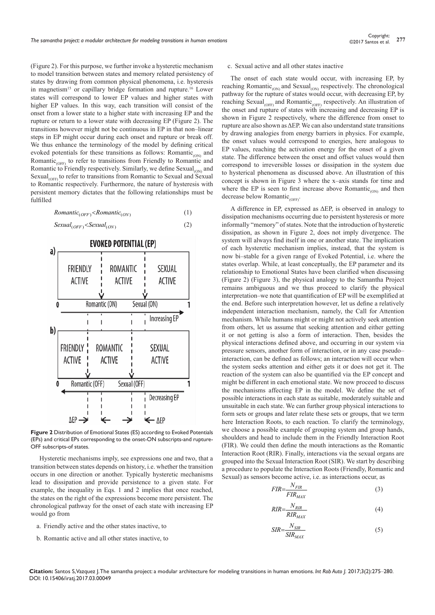(Figure 2). For this purpose, we further invoke a hysteretic mechanism to model transition between states and memory related persistency of states by drawing from common physical phenomena, i.e. hysteresis in magnetism<sup>15</sup> or capillary bridge formation and rupture.<sup>16</sup> Lower states will correspond to lower EP values and higher states with higher EP values. In this way, each transition will consist of the onset from a lower state to a higher state with increasing EP and the rupture or return to a lower state with decreasing EP (Figure 2). The transitions however might not be continuous in EP in that non–linear steps in EP might occur during each onset and rupture or break off. We thus enhance the terminology of the model by defining critical evoked potentials for these transitions as follows: Romantic<sub>(ON)</sub> and Romantic<sub>(OFF)</sub> to refer to transitions from Friendly to Romantic and Romantic to Friendly respectively. Similarly, we define  $Sexual<sub>(ON)</sub>$  and Sexual<sub>(OFF)</sub> to refer to transitions from Romantic to Sexual and Sexual to Romantic respectively. Furthermore, the nature of hysteresis with persistent memory dictates that the following relationships must be fulfilled

$$
Romantic_{(OFF)} < Romantic_{(ON)} \tag{1}
$$



**Figure 2** Distribution of Emotional States (ES) according to Evoked Potentials (EPs) and critical EPs corresponding to the onset-ON subscripts-and rupture-OFF subscripts-of states.

Hysteretic mechanisms imply, see expressions one and two, that a transition between states depends on history, i.e. whether the transition occurs in one direction or another. Typically hysteretic mechanisms lead to dissipation and provide persistence to a given state. For example, the inequality in Eqs. 1 and 2 implies that once reached, the states on the right of the expressions become more persistent. The chronological pathway for the onset of each state with increasing EP would go from

- a. Friendly active and the other states inactive, to
- b. Romantic active and all other states inactive, to

#### c. Sexual active and all other states inactive

The onset of each state would occur, with increasing EP, by reaching Romantic<sub>(ON)</sub> and Sexual<sub>(ON)</sub> respectively. The chronological pathway for the rupture of states would occur, with decreasing EP, by reaching Sexual<sub>(OFF)</sub> and Romantic<sub>(OFF)</sub> respectively. An illustration of the onset and rupture of states with increasing and decreasing EP is shown in Figure 2 respectively, where the difference from onset to rupture are also shown as ΔEP. We can also understand state transitions by drawing analogies from energy barriers in physics. For example, the onset values would correspond to energies, here analogous to EP values, reaching the activation energy for the onset of a given state. The difference between the onset and offset values would then correspond to irreversible losses or dissipation in the system due to hysterical phenomena as discussed above. An illustration of this concept is shown in Figure 3 where the x–axis stands for time and where the EP is seen to first increase above Romantic<sub>(ON)</sub> and then decrease below Romantic<sub>(OFF)</sub>.

A difference in EP, expressed as ΔEP, is observed in analogy to dissipation mechanisms occurring due to persistent hysteresis or more informally "memory" of states. Note that the introduction of hysteretic dissipation, as shown in Figure 2, does not imply divergence. The system will always find itself in one or another state. The implication of each hysteretic mechanism implies, instead, that the system is now bi–stable for a given range of Evoked Potential, i.e. where the states overlap. While, at least conceptually, the EP parameter and its relationship to Emotional States have been clarified when discussing (Figure 2) (Figure 3), the physical analogy to the Samantha Project remains ambiguous and we thus proceed to clarify the physical interpretation–we note that quantification of EP will be exemplified at the end. Before such interpretation however, let us define a relatively independent interaction mechanism, namely, the Call for Attention mechanism. While humans might or might not actively seek attention from others, let us assume that seeking attention and either getting it or not getting is also a form of interaction. Then, besides the physical interactions defined above, and occurring in our system via pressure sensors, another form of interaction, or in any case pseudo– interaction, can be defined as follows; an interaction will occur when the system seeks attention and either gets it or does not get it. The reaction of the system can also be quantified via the EP concept and might be different in each emotional state. We now proceed to discuss the mechanisms affecting EP in the model. We define the set of possible interactions in each state as suitable, moderately suitable and unsuitable in each state. We can further group physical interactions to form sets or groups and later relate these sets or groups, that we term here Interaction Roots, to each reaction. To clarify the terminology, we choose a possible example of grouping system and group hands, shoulders and head to include them in the Friendly Interaction Root (FIR). We could then define the mouth interactions as the Romantic Interaction Root (RIR). Finally, interactions via the sexual organs are grouped into the Sexual Interaction Root (SIR). We start by describing a procedure to populate the Interaction Roots (Friendly, Romantic and Sexual) as sensors become active, i.e. as interactions occur, as

$$
FIR = \frac{N_{FIR}}{FIR_{MAX}}\tag{3}
$$

$$
RIR = \frac{N_{RIR}}{RIR_{MAX}}\tag{4}
$$

$$
SIR = \frac{N_{SIR}}{SIR_{MAX}} \tag{5}
$$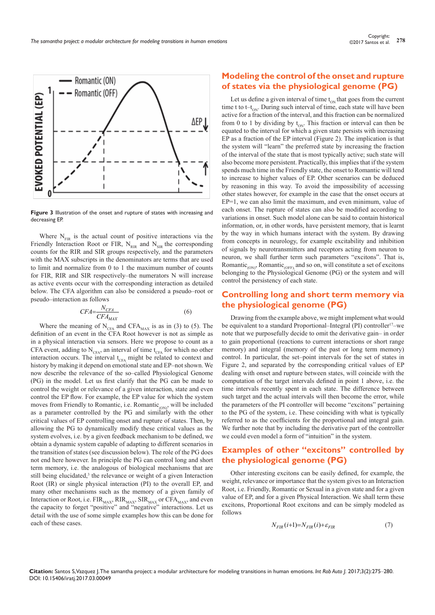

**Figure 3** Illustration of the onset and rupture of states with increasing and decreasing EP.

Where  $N_{FIR}$  is the actual count of positive interactions via the Friendly Interaction Root or FIR,  $N_{RIR}$  and  $N_{SIR}$  the corresponding counts for the RIR and SIR groups respectively, and the parameters with the MAX subscripts in the denominators are terms that are used to limit and normalize from 0 to 1 the maximum number of counts for FIR, RIR and SIR respectively–the numerators N will increase as active events occur with the corresponding interaction as detailed below. The CFA algorithm can also be considered a pseudo–root or pseudo–interaction as follows

$$
CFA = \frac{N_{CFA}}{CFA_{MAX}}\tag{6}
$$

Where the meaning of  $N_{CFA}$  and CFA<sub>MAX</sub> is as in (3) to (5). The definition of an event in the CFA Root however is not as simple as in a physical interaction via sensors. Here we propose to count as a CFA event, adding to  $N_{CFA}$ , an interval of time  $t_{CFA}$  for which no other interaction occurs. The interval  $t_{CFA}$  might be related to context and history by making it depend on emotional state and EP–not shown. We now describe the relevance of the so–called Physiological Genome (PG) in the model. Let us first clarify that the PG can be made to control the weight or relevance of a given interaction, state and even control the EP flow. For example, the EP value for which the system moves from Friendly to Romantic, i.e. Romantic $_{\text{conv}}$ , will be included as a parameter controlled by the PG and similarly with the other critical values of EP controlling onset and rupture of states. Then, by allowing the PG to dynamically modify these critical values as the system evolves, i.e. by a given feedback mechanism to be defined, we obtain a dynamic system capable of adapting to different scenarios in the transition of states (see discussion below). The role of the PG does not end here however. In principle the PG can control long and short term memory, i.e. the analogous of biological mechanisms that are still being elucidated, $3$  the relevance or weight of a given Interaction Root (IR) or single physical interaction (PI) to the overall EP, and many other mechanisms such as the memory of a given family of Interaction or Root, i.e.  $\text{FIR}_{\text{MAX}}$ ,  $\text{RIR}_{\text{MAX}}$ ,  $\text{SIR}_{\text{MAX}}$  or  $\text{CFA}_{\text{MAX}}$ , and even the capacity to forget "positive" and "negative" interactions. Let us detail with the use of some simple examples how this can be done for each of these cases.

# **Modeling the control of the onset and rupture of states via the physiological genome (PG)**

Let us define a given interval of time  $t_{ON}$  that goes from the current time t to t– $t_{ON}$ . During such interval of time, each state will have been active for a fraction of the interval, and this fraction can be normalized from 0 to 1 by dividing by  $t_{ON}$ . This fraction or interval can then be equated to the interval for which a given state persists with increasing EP as a fraction of the EP interval (Figure 2). The implication is that the system will "learn" the preferred state by increasing the fraction of the interval of the state that is most typically active; such state will also become more persistent. Practically, this implies that if the system spends much time in the Friendly state, the onset to Romantic will tend to increase to higher values of EP. Other scenarios can be deduced by reasoning in this way. To avoid the impossibility of accessing other states however, for example in the case that the onset occurs at EP=1, we can also limit the maximum, and even minimum, value of each onset. The rupture of states can also be modified according to variations in onset. Such model alone can be said to contain historical information, or, in other words, have persistent memory, that is learnt by the way in which humans interact with the system. By drawing from concepts in neurology, for example excitability and inhibition of signals by neurotransmitters and receptors acting from neuron to neuron, we shall further term such parameters "excitons". That is, Romantic<sub>(ON)</sub>, Romantic<sub>(OFF)</sub>, and so on, will constitute a set of excitons belonging to the Physiological Genome (PG) or the system and will control the persistency of each state.

# **Controlling long and short term memory via the physiological genome (PG)**

Drawing from the example above, we might implement what would be equivalent to a standard Proportional–Integral (PI) controller<sup>17</sup>–we note that we purposefully decide to omit the derivative gain– in order to gain proportional (reactions to current interactions or short range memory) and integral (memory of the past or long term memory) control. In particular, the set–point intervals for the set of states in Figure 2, and separated by the corresponding critical values of EP dealing with onset and rupture between states, will coincide with the computation of the target intervals defined in point 1 above, i.e. the time intervals recently spent in each state. The difference between such target and the actual intervals will then become the error, while the parameters of the PI controller will become "excitons" pertaining to the PG of the system, i.e. These coinciding with what is typically referred to as the coefficients for the proportional and integral gain. We further note that by including the derivative part of the controller we could even model a form of "intuition" in the system.

# **Examples of other "excitons" controlled by the physiological genome (PG)**

Other interesting excitons can be easily defined, for example, the weight, relevance or importance that the system gives to an Interaction Root, i.e. Friendly, Romantic or Sexual in a given state and for a given value of EP, and for a given Physical Interaction. We shall term these excitons, Proportional Root excitons and can be simply modeled as follows

$$
N_{FIR}(i+1)=N_{FIR}(i)+\varepsilon_{FIR}
$$
\n(7)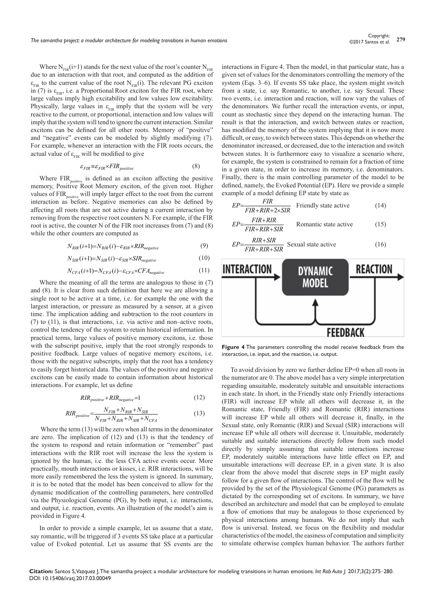Where  $N_{FIR}(i+1)$  stands for the next value of the root's counter  $N_{FIR}$ due to an interaction with that root, and computed as the addition of  $\varepsilon_{FIR}$  to the current value of the root N<sub>FIR</sub>(i). The relevant PG exciton in (7) is  $\varepsilon_{FIR}$ , i.e. a Proportional Root exciton for the FIR root, where large values imply high excitability and low values low excitability. Physically, large values in  $\varepsilon_{FIR}$  imply that the system will be very reactive to the current, or proportional, interaction and low values will imply that the system will tend to ignore the current interaction. Similar excitons can be defined for all other roots. Memory of "positive" and "negative" events can be modeled by slightly modifying (7). For example, whenever an interaction with the FIR roots occurs, the actual value of  $\varepsilon_{\text{FIR}}$  will be modified to give

$$
\varepsilon_{FIR} \equiv \varepsilon_{FIR} \times FIR_{positive} \tag{8}
$$

Where FIR<sub>positive</sub> is defined as an exciton affecting the positive memory, Positive Root Memory exciton, of the given root. Higher values of FIR<sub>positive</sub> will imply larger effect to the root from the current interaction as before. Negative memories can also be defined by affecting all roots that are not active during a current interaction by removing from the respective root counters N. For example, if the FIR root is active, the counter N of the FIR root increases from (7) and (8) while the other counters are computed as

$$
N_{RIR}(i+1) = N_{RIR}(i) - \varepsilon_{RIR} \times RIR_{negative}
$$
\n<sup>(9)</sup>

$$
N_{SIR}(i+1) = N_{SIR}(i) - \varepsilon_{SIR} \times SIR_{negative}
$$
\n(10)

$$
N_{CFA}(i+1) = N_{CFA}(i) - \varepsilon_{CFA} \times CFA_{negative}
$$
\n<sup>(11)</sup>

Where the meaning of all the terms are analogous to those in (7) and (8). It is clear from such definition that here we are allowing a single root to be active at a time, i.e. for example the one with the largest interaction, or pressure as measured by a sensor, at a given time. The implication adding and subtraction to the root counters in (7) to (11), is that interactions, i.e. via active and non–active roots, control the tendency of the system to retain historical information. In practical terms, large values of positive memory excitons, i.e. those with the subscript positive, imply that the root strongly responds to positive feedback. Large values of negative memory excitons, i.e. those with the negative subscripts, imply that the root has a tendency to easily forget historical data. The values of the positive and negative excitons can be easily made to contain information about historical interactions. For example, let us define

$$
RIR_{positive} + RIR_{negative} = 1 \tag{12}
$$

$$
RIR_{positive} = \frac{N_{FIR} + N_{RIR} + N_{SIR}}{N_{FIR} + N_{RIR} + N_{SIR} + N_{CFA}}
$$
\n
$$
\tag{13}
$$

 Where the term (13) will be zero when all terms in the denominator are zero. The implication of (12) and (13) is that the tendency of the system to respond and retain information or "remember" past interactions with the RIR root will increase the less the system is ignored by the human, i.e. the less CFA active events occur. More practically, mouth interactions or kisses, i.e. RIR interactions, will be more easily remembered the less the system is ignored. In summary, it is to be noted that the model has been conceived to allow for the dynamic modification of the controlling parameters, here controlled via the Physiological Genome (PG), by both input, i.e. interactions, and output, i.e. reaction, events. An illustration of the model's aim is provided in Figure 4.

In order to provide a simple example, let us assume that a state, say romantic, will be triggered if 3 events SS take place at a particular value of Evoked potential. Let us assume that SS events are the interactions in Figure 4. Then the model, in that particular state, has a given set of values for the denominators controlling the memory of the system (Eqs. 3–6). If events SS take place, the system might switch from a state, i.e. say Romantic, to another, i.e. say Sexual. These two events, i.e. interaction and reaction, will now vary the values of the denominators. We further recall the interaction events, or input, count as stochastic since they depend on the interacting human. The result is that the interaction, and switch between states or reaction, has modified the memory of the system implying that it is now more difficult, or easy, to switch between states. This depends on whether the denominator increased, or decreased, due to the interaction and switch between states. It is furthermore easy to visualize a scenario where, for example, the system is constrained to remain for a fraction of time in a given state, in order to increase its memory, i.e. denominators. Finally, there is the main controlling parameter of the model to be defined, namely, the Evoked Potential (EP). Here we provide a simple example of a model defining EP state by state as



**Figure 4** The parameters controlling the model receive feedback from the interaction, i.e. input, and the reaction, i.e. output.

To avoid division by zero we further define EP=0 when all roots in the numerator are 0. The above model has a very simple interpretation regarding unsuitable, moderately suitable and unsuitable interactions in each state. In short, in the Friendly state only Friendly interactions (FIR) will increase EP while all others will decrease it, in the Romantic state, Friendly (FIR) and Romantic (RIR) interactions will increase EP while all others will decrease it, finally, in the Sexual state, only Romantic (RIR) and Sexual (SIR) interactions will increase EP while all others will decrease it. Unsuitable, moderately suitable and suitable interactions directly follow from such model directly by simply assuming that suitable interactions increase EP, moderately suitable interactions have little effect on EP, and unsuitable interactions will decrease EP, in a given state. It is also clear from the above model that discrete steps in EP might easily follow for a given flow of interactions. The control of the flow will be provided by the set of the Physiological Genome (PG) parameters as dictated by the corresponding set of excitons. In summary, we have described an architecture and model that can be employed to emulate a flow of emotions that may be analogous to those experienced by physical interactions among humans. We do not imply that such flow is universal. Instead, we focus on the flexibility and modular characteristics of the model, the easiness of computation and simplicity to simulate otherwise complex human behavior. The authors further

**Citation:** Santos S, Vazquez J. The samantha project: a modular architecture for modeling transitions in human emotions. *Int Rob Auto J.* 2017;3(2):275‒280. DOI: [10.15406/iratj.2017.03.00049](https://doi.org/10.15406/iratj.2017.03.00049)